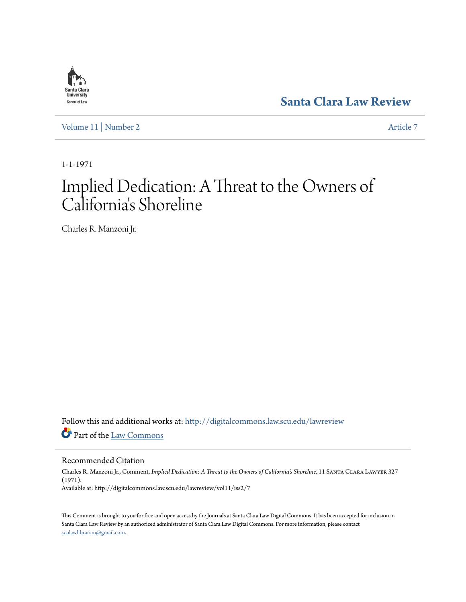

**[Santa Clara Law Review](http://digitalcommons.law.scu.edu/lawreview?utm_source=digitalcommons.law.scu.edu%2Flawreview%2Fvol11%2Fiss2%2F7&utm_medium=PDF&utm_campaign=PDFCoverPages)**

[Volume 11](http://digitalcommons.law.scu.edu/lawreview/vol11?utm_source=digitalcommons.law.scu.edu%2Flawreview%2Fvol11%2Fiss2%2F7&utm_medium=PDF&utm_campaign=PDFCoverPages) | [Number 2](http://digitalcommons.law.scu.edu/lawreview/vol11/iss2?utm_source=digitalcommons.law.scu.edu%2Flawreview%2Fvol11%2Fiss2%2F7&utm_medium=PDF&utm_campaign=PDFCoverPages) [Article 7](http://digitalcommons.law.scu.edu/lawreview/vol11/iss2/7?utm_source=digitalcommons.law.scu.edu%2Flawreview%2Fvol11%2Fiss2%2F7&utm_medium=PDF&utm_campaign=PDFCoverPages)

1-1-1971

# Implied Dedication: A Threat to the Owners of California 's Shoreline

Charles R. Manzoni Jr.

Follow this and additional works at: [http://digitalcommons.law.scu.edu/lawreview](http://digitalcommons.law.scu.edu/lawreview?utm_source=digitalcommons.law.scu.edu%2Flawreview%2Fvol11%2Fiss2%2F7&utm_medium=PDF&utm_campaign=PDFCoverPages) Part of the [Law Commons](http://network.bepress.com/hgg/discipline/578?utm_source=digitalcommons.law.scu.edu%2Flawreview%2Fvol11%2Fiss2%2F7&utm_medium=PDF&utm_campaign=PDFCoverPages)

Recommended Citation

Charles R. Manzoni Jr., Comment, *Implied Dedication: A Threat to the Owners of California's Shoreline*, 11 Santa Clara Lawyer 327 (1971). Available at: http://digitalcommons.law.scu.edu/lawreview/vol11/iss2/7

This Comment is brought to you for free and open access by the Journals at Santa Clara Law Digital Commons. It has been accepted for inclusion in Santa Clara Law Review by an authorized administrator of Santa Clara Law Digital Commons. For more information, please contact [sculawlibrarian@gmail.com](mailto:sculawlibrarian@gmail.com).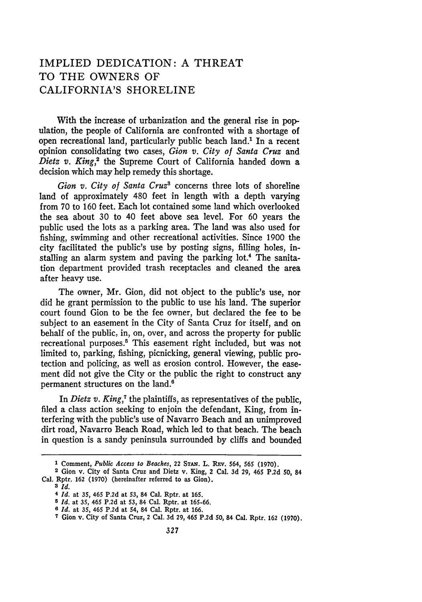# IMPLIED DEDICATION: A THREAT TO THE OWNERS OF CALIFORNIA'S SHORELINE

With the increase of urbanization and the general rise in population, the people of California are confronted with a shortage of open recreational land, particularly public beach land.1 In a recent opinion consolidating two cases, *Gion v. City of Santa Cruz* and Dietz v. King,<sup>2</sup> the Supreme Court of California handed down a decision which may help remedy this shortage.

*Gion v. City of Santa Cruz3* concerns three lots of shoreline land of approximately 480 feet in length with a depth varying from 70 to 160 feet. Each lot contained some land which overlooked the sea about 30 to 40 feet above sea level. For 60 years the public used the lots as a parking area. The land was also used for fishing, swimming and other recreational activities. Since 1900 the city facilitated the public's use by posting signs, filling holes, installing an alarm system and paving the parking lot.<sup>4</sup> The sanitation department provided trash receptacles and cleaned the area after heavy use.

The owner, Mr. Gion, did not object to the public's use, nor did he grant permission to the public to use his land. The superior court found Gion to be the fee owner, but declared the fee to be subject to an easement in the City of Santa Cruz for itself, and on behalf of the public, in, on, over, and across the property for public recreational purposes.<sup>5</sup> This easement right included, but was not limited to, parking, fishing, picnicking, general viewing, public protection and policing, as well as erosion control. However, the easement did not give the City or the public the right to construct any permanent structures on the land.'

In *Dietz v. King*,<sup>7</sup> the plaintiffs, as representatives of the public, filed a class action seeking to enjoin the defendant, King, from interfering with the public's use of Navarro Beach and an unimproved dirt road, Navarro Beach Road, which led to that beach. The beach in question is a sandy peninsula surrounded by cliffs and bounded

<sup>1</sup> Comment, *Public Access to Beaches*, 22 STAN. L. REV. 564, 565 (1970).

**<sup>2</sup>** Gion v. City of Santa Cruz and Dietz v. King, 2 Cal. **3d 29,** 465 P.2d **50,** 84 Cal. Rptr. **162 (1970)** (hereinafter referred to as Gion).

**<sup>3</sup>** *Id.*

**<sup>4</sup>***Id.* at **35,** 465 **P.2d** at **53,** 84 Cal. Rptr. at **165.**

**<sup>5</sup>** *Id.* at **35,** 465 **P.2d** at **53,** 84 Cal. Rptr. at 165-66.

**<sup>8</sup>***Id.* at **35,** 465 **P.2d** at 54, 84 Cal. Rptr. at 166.

**<sup>7</sup>** Gion v. City of Santa Cruz, 2 Cal. **3d 29,** 465 **P.2d 50,** 84 Cal. Rptr. **162 (1970).**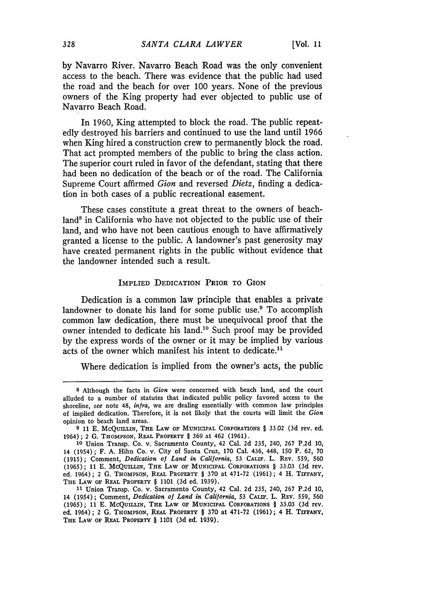**by** Navarro River. Navarro Beach Road was the only convenient access to the beach. There was evidence that the public had used the road and the beach for over **100** years. None of the previous owners of the King property had ever objected to public use of Navarro Beach Road.

In **1960,** King attempted to block the road. The public repeatedly destroyed his barriers and continued to use the land until **1966** when King hired a construction crew to permanently block the road. That act prompted members of the public to bring the class action. The superior court ruled in favor of the defendant, stating that there had been no dedication of the beach or of the road. The California Supreme Court affirmed *Gion* and reversed *Dietz,* finding a dedication in both cases of a public recreational easement.

These cases constitute a great threat to the owners of beachland<sup>8</sup> in California who have not objected to the public use of their land, and who have not been cautious enough to have affirmatively granted a license to the public. **A** landowner's past generosity may have created permanent rights in the public without evidence that the landowner intended such a result.

#### IMPLIED DEDICATION PRIOR TO GION

Dedication is a common law principle that enables a private landowner to donate his land for some public use.<sup>9</sup> To accomplish common law dedication, there must be unequivocal proof that the owner intended to dedicate his land.<sup>10</sup> Such proof may be provided by the express words of the owner or it may be implied by various acts of the owner which manifest his intent to dedicate.<sup>11</sup>

Where dedication is implied from the owner's acts, the public

**<sup>8</sup>** Although the facts in *Gion* were concerned with beach land, and the court alluded to a number of statutes that indicated public policy favored access to the shoreline, *see* note 48, *infra,* we are dealing essentially with common law principles of implied dedication. Therefore, it is not likely that the courts will limit the *Gion* opinion to beach land areas.

**<sup>9 11</sup> E. MCQUILLIN, THE LAW** OF **MUNICIPAL** CORPORATIONS § 33.02 **(3d** rev. ed. 1964) ; 2 G. THOMPSON, **REAL** PROPERTY § 369 at 462 (1961).

**<sup>10</sup>**Union Transp. Co. v. Sacramento County, 42 Cal. 2d 235, 240, 267 P.2d 10, 14 (1954); F. A. Hihn Co. v. City of Santa Cruz, 170 Cal. 436, 448, 150 P. 62, 70 (1915); Comment, *Dedication of Land in California,* 53 **CALIF.** L. REV. 559, 560 (1965); 11 **E.** McQuniuN, THE **LAW** OF **MUNICIPAL** CORPORATIONS § 33.03 (3d **rev.** ed. 1964) **;** 2 G. **THOMPSON,** REAL **PROPERTY** § 370 at 471-72 (1961) ; 4 H. **TIFFANY, THE LAW** OF **REAL PROPERTY** § 1101 (3d ed. 1939).

**<sup>11</sup>**Union Transp. Co. v. Sacramento County, 42 Cal. 2d 235, 240, 267 P.2d 10, 14 (1954); Comment, *Dedication of Land in California,* 53 CALIF. L. **REV.** 559, 560 (1965); 11 **E.** McQuniLiN, **THE LAW OF** MUNICIPAL CORPORATIONS § 33.03 (3d rev. ed. 1964); 2 G. **THOMPSON,** REAL. **PROPERTY** § 370 at 471-72 (1961); 4 H. **TIFFANY, THE LAW** OF REAL **PROPERTY** § 1101 (3d ed. 1939).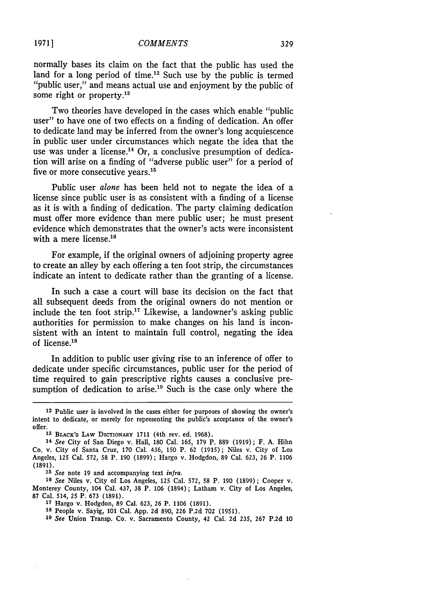normally bases its claim on the fact that the public has used the land for a long period of time.<sup>12</sup> Such use by the public is termed "public user," and means actual use and enjoyment by the public of some right or property.<sup>13</sup>

Two theories have developed in the cases which enable "public user" to have one of two effects on a finding of dedication. An offer to dedicate land may be inferred from the owner's long acquiescence in public user under circumstances which negate the idea that the use was under a license.<sup>14</sup> Or, a conclusive presumption of dedication will arise on a finding of "adverse public user" for a period of five or more consecutive years.<sup>15</sup>

Public user *alone* has been held not to negate the idea of a license since public user is as consistent with a finding of a license as it is with a finding of dedication. The party claiming dedication must offer more evidence than mere public user; he must present evidence which demonstrates that the owner's acts were inconsistent with a mere license.<sup>16</sup>

For example, if the original owners of adjoining property agree to create an alley by each offering a ten foot strip, the circumstances indicate an intent to dedicate rather than the granting of a license.

In such a case a court will base its decision on the fact that all subsequent deeds from the original owners do not mention or include the ten foot strip.<sup>17</sup> Likewise, a landowner's asking public authorities for permission to make changes on his land is inconsistent with an intent to maintain full control, negating the idea of license.<sup>18</sup>

In addition to public user giving rise to an inference of offer to dedicate under specific circumstances, public user for the period of time required to gain prescriptive rights causes a conclusive presumption of dedication to arise.<sup>19</sup> Such is the case only where the

<sup>12</sup> Public user is involved in the cases either for purposes of showing the owner's intent to dedicate, or merely for representing the public's acceptance of the owner's offer.

**<sup>13</sup>** BLACK'S LAW DIcrIONARY **1711** (4th rev. ed. **1968).**

**<sup>14</sup>***See* City of San Diego v. Hall, **180** Cal. **165, 179** P. **889 (1919);** F. **A.** Hihn Co. v. City of Santa Cruz, **170** Cal. 436, **150** P. **62 (1915);** Niles v. City of Los Angeles, **125** Cal. 572, **58** P. **190 (1899);** Hargo v. Hodgdon, **89** Cal. **623, 26** P. **1106 (1891).**

*<sup>15</sup> See* note 19 and accompanying text *infra.*

*<sup>16</sup> See* Niles v. City of Los Angeles, 125 Cal. 572, **58** P. 190 (1899) ; Cooper v. Monterey County, 104 Cal. 437, 38 P. 106 (1894); Latham v. City of Los Angeles, 87 Cal. 514, 25 P. 673 (1891).

**<sup>17</sup>**Hargo v. Hodgdon, 89 Cal. 623, 26 P. 1106 (1891).

**<sup>18</sup>** People v. Sayig, 101 Cal. **App.** 2d 890, **226** P.2d **702** (1951).

*<sup>19</sup> See* Union Transp. Co. v. Sacramento County, 42 Cal. 2d 235, 267 P.2d 10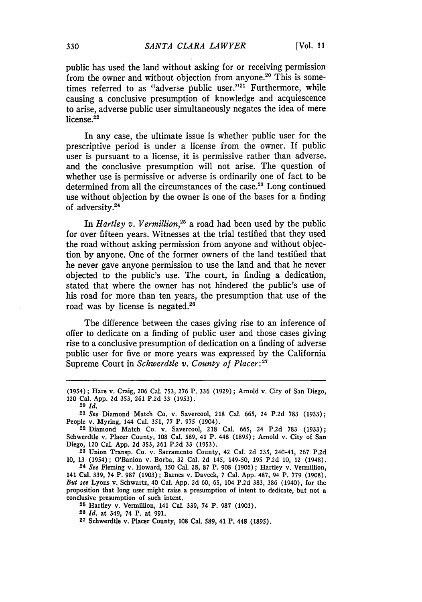public has used the land without asking for or receiving permission from the owner and without objection from anyone.<sup>20</sup> This is sometimes referred to as "adverse public user."<sup>21</sup> Furthermore, while causing a conclusive presumption of knowledge and acquiescence to arise, adverse public user simultaneously negates the idea of mere license. $^{22}$ 

In any case, the ultimate issue is whether public user for the prescriptive period is under a license from the owner. If public user is pursuant to a license, it is permissive rather than adverse, and the conclusive presumption will not arise. The question of whether use is permissive or adverse is ordinarily one of fact to be determined from all the circumstances of the case.<sup>23</sup> Long continued use without objection by the owner is one of the bases for a finding of adversity.24

In *Hartley v. Vermillion,25* a road had been used by the public for over fifteen years. Witnesses at the trial testified that they used the road without asking permission from anyone and without objection by anyone. One of the former owners of the land testified that he never gave anyone permission to use the land and that he never objected to the public's use. The court, in finding a dedication, stated that where the owner has not hindered the public's use of his road for more than ten years, the presumption that use of the road was by license is negated.26

The difference between the cases giving rise to an inference of offer to dedicate on a finding of public user and those cases giving rise to a conclusive presumption of dedication on a finding of adverse public user for five or more years was expressed by the California Supreme Court in *Schwerdtle v. County of Placer*:<sup>27</sup>

**23** Union Transp. Co. v. Sacramento County, 42 Cal. 2d 235, 240-41, 267 P.2d 10, 13 (1954); O'Banion v. Borba, 32 Cal. 2d 145, 149-50, 195 P.2d **10,** 12 (1948). **<sup>24</sup>***See* Fleming v. Howard, 150 Cal. 28, 87 P. 908 (1906); Hartley v. Vermillion,

**25** Hartley v. Vermillion, 141 Cal. 339, 74 P. 987 (1903).

**<sup>26</sup>***Id.* at 349, 74 P. at 991.

**27** Schwerdtle v. Placer County, 108 Cal. 589, 41 P. 448 (1895).

<sup>(1954) ;</sup> Hare v. Craig, 206 Cal. 753, 276 P. 336 (1929) **;** Arnold v. City of San Diego, 120 Cal. App. 2d 353, 261 P.2d 33 (1953).

**<sup>20</sup>***Id.*

*<sup>21</sup> See* Diamond Match Co. v. Savercool, 218 Cal. 665, 24 P.2d 783 (1933); People v. Myring, 144 Cal. 351, 77 P. 975 (1904).

**<sup>22</sup>** Diamond Match Co. v. Savercool, 218 Cal. 665, 24 P.2d 783 (1933); Schwerdtle v. Placer County, **108** Cal. 589, 41 P. 448 (1895); Arnold v. City of San Diego, 120 Cal. **App.** 2d 353, 261 P.2d 33 (1953).

<sup>141</sup> Cal. 339, 74 P. 987 (1903) ; Barnes v. Daveck, 7 Cal. App. 487, 94 P. 779 (1908). *But see* Lyons v. Schwartz, 40 Cal. App. 2d 60, 65, 104 P.2d 383, 386 (1940), for the proposition that long user might raise a presumption of intent to dedicate, but not a conclusive presumption of such intent.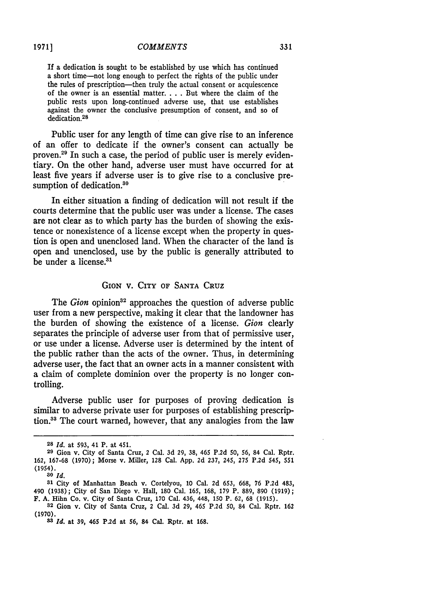If a dedication is sought to be established by use which has continued a short time-not long enough to perfect the rights of the public under the rules of prescription-then truly the actual consent or acquiescence of the owner is an essential matter. . **.** . But where the claim of the public rests upon long-continued adverse use, that use establishes against the owner the conclusive presumption of consent, and so of dedication.<sup>28</sup>

Public user for any length of time can give rise to an inference of an offer to dedicate if the owner's consent can actually be proven.<sup>29</sup> In such a case, the period of public user is merely evidentiary. On the other hand, adverse user must have occurred for at least five years if adverse user is to give rise to a conclusive presumption of dedication.<sup>30</sup>

In either situation a finding of dedication will not result if the courts determine that the public user was under a license. The cases are not clear as to which party has the burden of showing the existence or nonexistence of a license except when the property in question is open and unenclosed land. When the character of the land is open and unenclosed, use by the public is generally attributed to be under a license.<sup>31</sup>

#### GION v. CITY OF SANTA CRUZ

The *Gion* opinion<sup>32</sup> approaches the question of adverse public user from a new perspective, making it clear that the landowner has the burden of showing the existence of a license. *Gion* clearly separates the principle of adverse user from that of permissive user, or use under a license. Adverse user is determined by the intent of the public rather than the acts of the owner. Thus, in determining adverse user, the fact that an owner acts in a manner consistent with a claim of complete dominion over the property is no longer controlling.

Adverse public user for purposes of proving dedication is similar to adverse private user for purposes of establishing prescription.<sup>33</sup> The court warned, however, that any analogies from the law

*30 Id.*

**<sup>28</sup>** *Id.* at 593, 41 P. at 451.

**<sup>29</sup>** Gion v. City of Santa Cruz, 2 Cal. 3d **29, 38,** 465 P.2d **50, 56,** 84 Cal. Rptr. 162, 167-68 (1970); Morse v. Miller, 128 Cal. App. 2d 237, 245, 275 P.2d 545, 551 (1954).

**<sup>31</sup>** City of Manhattan Beach v. Cortelyou, 10 Cal. 2d 653, **668,** 76 P.2d 483, 490 (1938); City of San Diego v. Hall, 180 Cal. 165, 168, 179 P. 889, **890** (1919); F. A. Hihn Co. v. City of Santa Cruz, **170** Cal. 436, 448, 150 P. **62,** 68 (1915).

**<sup>32</sup>**Gion v. City of Santa Cruz, 2 Cal. 3d 29, 465 P.2d **50,** 84 Cal. Rptr. **<sup>162</sup> (1970).**

*<sup>33</sup> Id.* at **39,** 465 **P.2d** at **56,** 84 Cal. Rptr. at 168.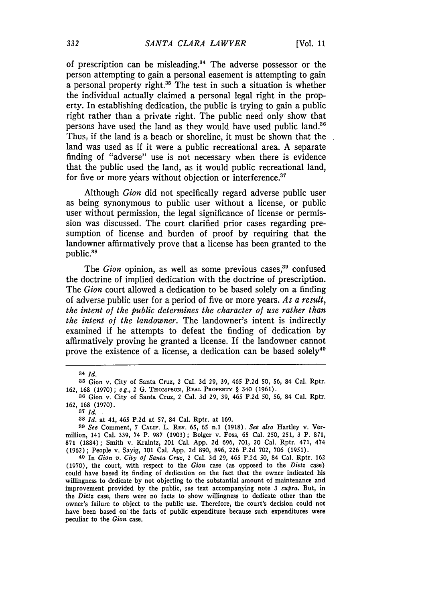of prescription can be misleading. $34$  The adverse possessor or the person attempting to gain a personal easement is attempting to gain a personal property right.<sup>35</sup> The test in such a situation is whether the individual actually claimed a personal legal right in the property. In establishing dedication, the public is trying to gain a public right rather than a private right. The public need only show that persons have used the land as they would have used public land.<sup>36</sup> Thus, if the land is a beach or shoreline, it must be shown that the land was used as if it were a public recreational area. A separate finding of "adverse" use is not necessary when there is evidence that the public used the land, as it would public recreational land, for five or more years without objection or interference.<sup>37</sup>

Although *Gion* did not specifically regard adverse public user as being synonymous to public user without a license, or public user without permission, the legal significance of license or permission was discussed. The court clarified prior cases regarding presumption of license and burden of proof by requiring that the landowner affirmatively prove that a license has been granted to the public.<sup>38</sup>

The *Gion* opinion, as well as some previous cases,<sup>39</sup> confused the doctrine of implied dedication with the doctrine of prescription. The *Gion* court allowed a dedication to be based solely on a finding of adverse public user for a period of five or more years. *As a result, the intent of the public determines the character of use rather than the intent of the landowner.* The landowner's intent is indirectly examined if he attempts to defeat the finding of dedication **by** affirmatively proving he granted a license. If the landowner cannot prove the existence of a license, a dedication can be based solely<sup>40</sup>

**<sup>34</sup>***Id.*

**<sup>35</sup>**Gion v. City of Santa Cruz, 2 Cal. 3d 29, 39, 465 P.2d 50, 56, 84 Cal. Rptr. 162, **168** (1970); e.g., 2 **G. THOMPSON,** REAL PROPERTY § 340 (1961).

**<sup>36</sup>** Gion v. City of Santa Cruz, 2 Cal. 3d 29, 39, 465 **P.2d 50, 56,** 84 Cal. Rptr. 162, 168 (1970).

**<sup>37</sup>** *Id.*

**<sup>38</sup>** *Id.* at 41, 465 **P.2d** at **57,** 84 Cal. Rptr. at 169.

**<sup>39</sup>** *See* Comment, 7 **CALIF.** L. **REV.** 65, 65 n.1 (1918). *See also* Hartley v. Vermillion, 141 Cal. 339, 74 P. **987** (1903) ; Bolger v. Foss, **65** Cal. 250, **251, 3** P. 871, **871 (1884);** Smith v. Kraintz, 201 Cal. App. 2d 696, 701, 20 Cal. Rptr. 471, 474 (1962); People v. Sayig, 101 Cal. App. 2d 890, 896, 226 **P.2d** 702, 706 (1951). **<sup>40</sup>**In *Gion v. City of Santa Cruz,* 2 Cal. 3d 29, 465 P.2d **50,** 84 Cal. Rptr. 162

<sup>(1970),</sup> the court, with respect to the *Gion* case (as opposed to the *Dietz* case) could have based its finding of dedication on the fact that the owner indicated his willingness to dedicate **by** not objecting to the substantial amount of maintenance and improvement provided **by** the public, *see* text accompanying note 3 *supra.* But, in the *Dietz* case, there were no facts to show willingness to dedicate other than the owner's failure to object to the public use. Therefore, the court's decision could not have been based on the facts of public expenditure because such expenditures were peculiar to the *Gion* **case.**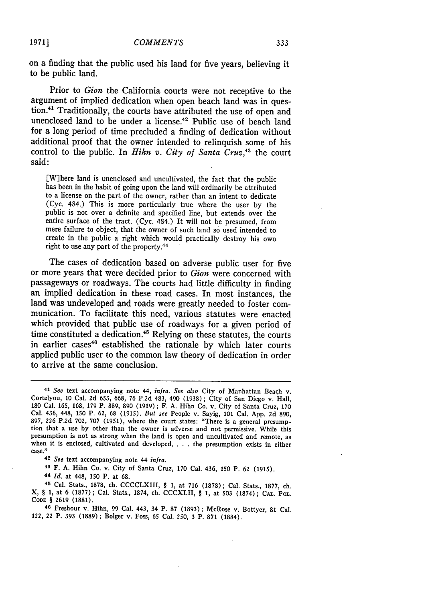on a finding that the public used his land for five years, believing it to be public land.

Prior to *Gion* the California courts were not receptive to the argument of implied dedication when open beach land was in question.<sup>41</sup> Traditionally, the courts have attributed the use of open and unenclosed land to be under a license.<sup>42</sup> Public use of beach land for a long period of time precluded a finding of dedication without additional proof that the owner intended to relinquish some of his control to the public. In *Hihn v. City of Santa Cruz*,<sup>43</sup> the court said:

[W]here land is unenclosed and uncultivated, the fact that the public has been in the habit of going upon the land will ordinarily be attributed to a license on the part of the owner, rather than an intent to dedicate (Cyc. 484.) This is more particularly true where the user by the public is not over a definite and specified line, but extends over the entire surface of the tract. (Cyc. 484.) It will not be presumed, from mere failure to object, that the owner of such land so used intended to create in the public a right which would practically destroy his own right to use any part of the property.<sup>44</sup>

The cases of dedication based on adverse public user for five or more years that were decided prior to *Gion* were concerned with passageways or roadways. The courts had little difficulty in finding an implied dedication in these road cases. In most instances, the land was undeveloped and roads were greatly needed to foster communication. To facilitate this need, various statutes were enacted which provided that public use of roadways for a given period of time constituted a dedication.<sup> $45$ </sup> Relying on these statutes, the courts in earlier cases<sup>46</sup> established the rationale by which later courts applied public user to the common law theory of dedication in order to arrive at the same conclusion.

**42** *See* text accompanying note 44 *infra.*

43 F. **A. Hihn** Co. v. City of Santa Cruz, **170** Cal. 436, **150** P. 62 **(1915).**

**<sup>44</sup>***Id.* at 448, **150** P. at **68.**

<sup>45</sup>Cal. Stats., **1878,** ch. CCCCLXIII, § **1,** at **716 (1878);** Cal. Stats., **1877,** ch. X, § **1,** at 6 **(1877) ;** Cal. Stats., **1874,** ch. CCCXLII, § **1,** at **503 (1874) ; CAL.** POL. **CODE** § 2619 **(1881).**

**<sup>40</sup>**Freshour v. Hihn, 99 Cal. 443, 34 P. **87 (1893);** McRose v. Bottyer, **81** Cal. 122, 22 P. **393 (1889);** Bolger v. Foss, 65 Cal. **250, 3** P. **871 (1884).**

*1971]*

*<sup>41</sup>See* text accompanying note *44, infra. See also* City of Manhattan Beach v. Cortelyou, **10** Cal. **2d 653, 668,** 76 **P.2d** 483, 490 **(1938) ;** City of San Diego v. Hall, **<sup>180</sup>**Cal. **165, 168, 179** P. **889, 890** (1919) **;** F. **A.** Hihn Co. v. City of Santa Cruz, **<sup>170</sup>** Cal. 436, **448, 150** P. **62, 68 (1915).** *But see* People v. Sayig, 101 Cal. **App. 2d 890,** tion that a use by other than the owner is adverse and not permissive. While this presumption is not as strong when the land is open and uncultivated and remote, as when it is enclosed, cultivated and developed, **.. .**the presumption exists in either case."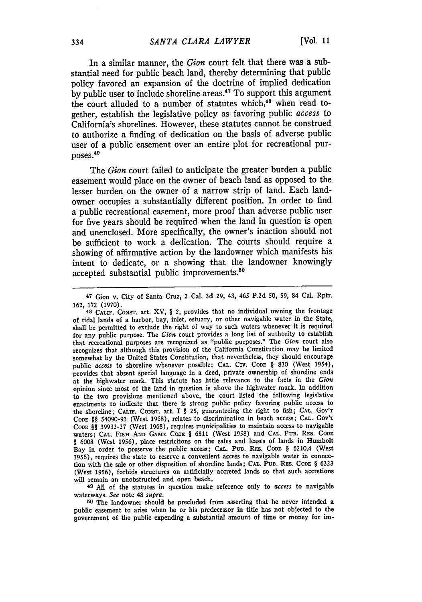In a similar manner, the *Gion* court felt that there was a substantial need for public beach land, thereby determining that public policy favored an expansion of the doctrine of implied dedication by public user to include shoreline areas.<sup>47</sup> To support this argument the court alluded to a number of statutes which,<sup>48</sup> when read together, establish the legislative policy as favoring public *access* to California's shorelines. However, these statutes cannot be construed to authorize a finding of dedication on the basis of adverse public user of a public easement over an entire plot for recreational purposes.<sup>49</sup>

The *Gion* court failed to anticipate the greater burden a public easement would place on the owner of beach land as opposed to the lesser burden on the owner of a narrow strip of land. Each landowner occupies a substantially different position. In order to find a public recreational easement, more proof than adverse public user for five years should be required when the land in question is open and unenclosed. More specifically, the owner's inaction should not be sufficient to work a dedication. The courts should require a showing of affirmative action by the landowner which manifests his intent to dedicate, or a showing that the landowner knowingly accepted substantial public improvements.<sup>50</sup>

**49** All of the statutes in question make reference only to *access* to navigable waterways. *See* note 48 *supra.*

**<sup>50</sup>**The landowner should be precluded from asserting that he never intended a public easement to arise when he or his predecessor in title has not objected to the government of the public expending a substantial amount of time or money for im-

<sup>47</sup> Gion v. City of Santa Cruz, 2 Cal. 3d **29,** 43, 465 **P.2d** *50,* **59,** 84 Cal. Rptr. 162, **172** (1970).

**<sup>48</sup>** CALIF. **CONST.** art. XV, § 2, provides that no individual owning the frontage of tidal lands of a harbor, bay, inlet, estuary, or other navigable water in the State, shall be permitted to exclude the right of way to such waters whenever it is required for any public purpose. The *Gion* court provides a long list of authority to establish that recreational purposes are recognized as "public purposes." The *Gion* court also recognizes that although this provision of the California Constitution may be limited somewhat by the United States Constitution, that nevertheless, they should encourage public access to shoreline whenever possible: CAL. CIV. CODE § 830 (West 1954), provides that absent special language in a deed, private ownership of shoreline ends at the highwater mark. This statute has little relevance to the facts in the *Gion* opinion since most of the land in question is above the highwater mark. In addition to the two provisions mentioned above, the court listed the following legislative enactments to indicate that there is strong public policy favoring public access to the shoreline; **CALIF. CONST.** art. I § 25, guaranteeing the right to fish; **CAL.** *GOV'T* **CODE** §§ 54090-93 (West 1968), relates to discrimination in beach access; **CAL. GOV'T CODE** §§ 39933-37 (West 1968), requires municipalities to maintain access to navigable waters; **CAL. FIsH AND GAME CODE** § **6511** (West 1958) and **CAL. PUB. REs. CODE** § 6008 (West **1956),** place restrictions on the sales and leases of lands in Humbolt Bay in order to preserve the public access; **CAL.** PUB. REs. **CODE** § 6210.4 (West **1956),** requires the state to reserve a convenient access to navigable water in connection with the sale or other disposition of shoreline lands; **CAL.** PUB. RES. **CODE** § 6323 (West **1956),** forbids structures on artificially accreted lands so that such accretions will remain an unobstructed and open beach.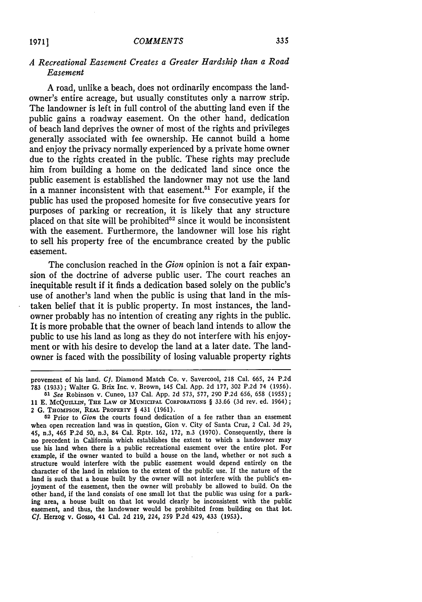#### 335

#### *A Recreational Easement Creates a Greater Hardship than a Road Easement*

A road, unlike a beach, does not ordinarily encompass the landowner's entire acreage, but usually constitutes only a narrow strip. The landowner is left in full control of the abutting land even if the public gains a roadway easement. On the other hand, dedication of beach land deprives the owner of most of the rights and privileges generally associated with fee ownership. He cannot build a home and enjoy the privacy normally experienced by a private home owner due to the rights created in the public. These rights may preclude him from building a home on the dedicated land since once the public easement is established the landowner may not use the land in a manner inconsistent with that easement.<sup>51</sup> For example, if the public has used the proposed homesite for five consecutive years for purposes of parking or recreation, it is likely that any structure placed on that site will be prohibited<sup>52</sup> since it would be inconsistent with the easement. Furthermore, the landowner will lose his right to sell his property free of the encumbrance created by the public easement.

The conclusion reached in the *Gion* opinion is not a fair expansion of the doctrine of adverse public user. The court reaches an inequitable result if it finds a dedication based solely on the public's use of another's land when the public is using that land in the mistaken belief that it is public property. In most instances, the landowner probably has no intention of creating any rights in the public. It is more probable that the owner of beach land intends to allow the public to use his land as long as they do not interfere with his enjoyment or with his desire to develop the land at a later date. The landowner is faced with the possibility of losing valuable property rights

**19711**

provement of his land. *Cf.* Diamond Match Co. v. Savercool, 218 Cal. 665, 24 P.2d 783 (1933) ; Walter G. Brix Inc. v. Brown, 145 Cal. App. 2d 177, 302 P.2d 74 (1956).

*<sup>51</sup> See* Robinson v. Cuneo, 137 Cal. App. 2d 573, 577, 290 P.2d 656, 658 (1955); 11 E. McQUILLIN, THE LAW OF MUNICIPAL CORPORATIONS § 33.66 (3d rev. ed. 1964); 2 **G.** THo PsoN, **REAL** PROPERTY § 431 **(1961).**

**<sup>52</sup>**Prior to *Gion* the courts found dedication of a fee rather than an easement when open recreation land was in question, Gion v. City of Santa Cruz, 2 Cal. 3d 29, 45, n.3, 465 P.2d **50,** n.3, 84 Cal. Rptr. 162, 172, n.3 (1970). Consequently, there is no precedent in California which establishes the extent to which a landowner may use his land when there is a public recreational easement over the entire plot. For example, if the owner wanted to build a house on the land, whether or not such a structure would interfere with the public easement would depend entirely on the character of the land in relation to the extent of the public use. If the nature of the land is such that a house built by the owner will not interfere with the public's enjoyment of the easement, then the owner will probably be allowed to build. On the other hand, if the land consists of one small lot that the public was using for a parking area, a house built on that lot would clearly be inconsistent with the public easement, and thus, the landowner would be prohibited from building on that lot. *Cf.* Herzog v. Gosso, 41 Cal. **2d 219,** 224, **259 P.2d** 429, 433 **(1953).**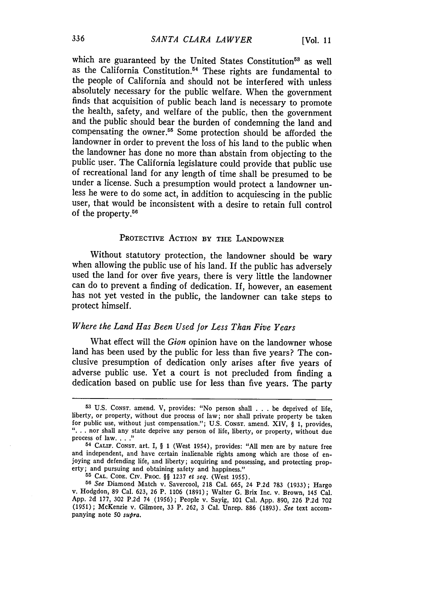which are guaranteed by the United States Constitution<sup>53</sup> as well as the California Constitution.54 These rights are fundamental to the people of California and should not be interfered with unless absolutely necessary for the public welfare. When the government finds that acquisition of public beach land is necessary to promote the health, safety, and welfare of the public, then the government and the public should bear the burden of condemning the land and compensating the owner.55 Some protection should be afforded the landowner in order to prevent the loss of his land to the public when the landowner has done no more than abstain from objecting to the public user. The California legislature could provide that public use of recreational land for any length of time shall be presumed to be under a license. Such a presumption would protect a landowner unless he were to do some act, in addition to acquiescing in the public user, that would be inconsistent with a desire to retain full control of the property.56

#### PROTECTIVE ACTION BY THE LANDOWNER

Without statutory protection, the landowner should be wary when allowing the public use of his land. If the public has adversely used the land for over five years, there is very little the landowner can do to prevent a finding of dedication. If, however, an easement has not yet vested in the public, the landowner can take steps to protect himself.

### *Where the Land Has Been Used for Less Than Five Years*

What effect will the *Gion* opinion have on the landowner whose land has been used by the public for less than five years? The conclusive presumption of dedication only arises after five years of adverse public use. Yet a court is not precluded from finding a dedication based on public use for less than five years. The party

**55 CAL. CODE.** CIv. PROC. §§ 1237 *et seq.* (West 1955).

**<sup>56</sup>***See* Diamond Match v. Savercool, 218 Cal. 665, 24 P.2d **783** (1933); Hargo v. Hodgdon, 89 Cal. 623, 26 P. 1106 (1891); Walter G. Brix Inc. v. Brown, 145 Cal. App. 2d 177, **302** P.2d 74 (1956); People v. Sayig, 101 Cal. App. 890, 226 P.2d 702 (1951); McKenzie v. Gilmore, 33 P. **262,** 3 Cal. Unrep. 886 (1893). *See* text accom- panying note **50** *supra.*

<sup>&</sup>lt;sup>53</sup> U.S. Const. amend. V, provides: "No person shall . . . be deprived of life, liberty, or property, without due process of law; nor shall private property be taken for public use, without just compensation."; U.S. Const for public use, without just compensation."; U.S. CONST. amend. XIV, § 1, provides, **"...** nor shall any state deprive any person of life, liberty, or property, without due process of law. . . .<sup>"</sup>

**<sup>54</sup> CALIF.** CONST. art. I, § 1 (West 1954), provides: "All men are by nature free and independent, and have certain inalienable rights among which are those of en-joying and defending life, and liberty; acquiring and possessing, and protecting property; and pursuing and obtaining safety and happiness."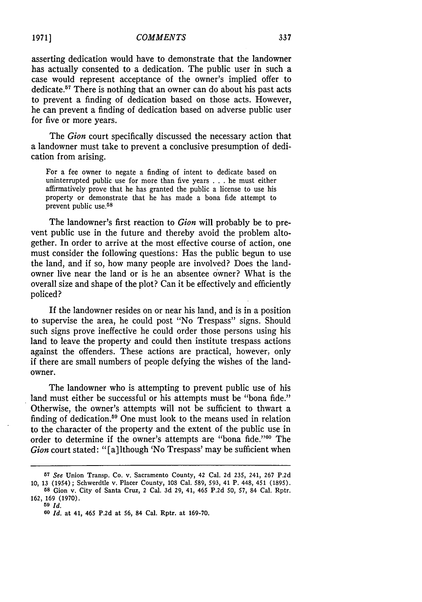asserting dedication would have to demonstrate that the landowner has actually consented to a dedication. The public user in such a case would represent acceptance of the owner's implied offer to dedicate.57 There is nothing that an owner can do about his past acts to prevent a finding of dedication based on those acts. However, he can prevent a finding of dedication based on adverse public user for five or more years.

The *Gion* court specifically discussed the necessary action that a landowner must take to prevent a conclusive presumption of dedication from arising.

For a fee owner to negate a finding of intent to dedicate based on uninterrupted public use for more than five years . . . he must either affirmatively prove that he has granted the public a license to use his property or demonstrate that he has made a bona fide attempt to prevent public use. <sup>58</sup>

The landowner's first reaction to *Gion* will probably be to prevent public use in the future and thereby avoid the problem altogether. In order to arrive at the most effective course of action, one must consider the following questions: Has the public begun to use the land, and if so, how many people are involved? Does the landowner live near the land or is he an absentee Owner? What is the overall size and shape of the plot? Can it be effectively and efficiently policed?

If the landowner resides on or near his land, and is in a position to supervise the area, he could post "No Trespass" signs. Should such signs prove ineffective he could order those persons using his land to leave the property and could then institute trespass actions against the offenders. These actions are practical, however, only if there are small numbers of people defying the wishes of the landowner.

The landowner who is attempting to prevent public use of his land must either be successful or his attempts must be "bona fide." Otherwise, the owner's attempts will not be sufficient to thwart a finding of dedication.59 One must look to the means used in relation to the character of the property and the extent of the public use in order to determine if the owner's attempts are "bona fide."<sup>60</sup> The *Gion* court stated: "[a] lthough 'No Trespass' may be sufficient when

<sup>57</sup>*See* Union Transp. Co. v. Sacramento County, 42 Cal. **2d** 235, 241, **267** P.2d 10, 13 (1954) ; Schwerdtle v. Placer County, 108 Cal. 589, 593, 41 P. 448, 451 (1895). **68** Gion v. City of Santa Cruz, 2 Cal. **3d 29,** 41, 465 **P.2d 50, 57,** 84 Cal. Rptr. 162, 169 (1970).

**<sup>59</sup>** *Id.*

*<sup>60</sup>Id.* at 41, 465 **P.2d** at **56,** 84 Cal. Rptr. at **169-70.**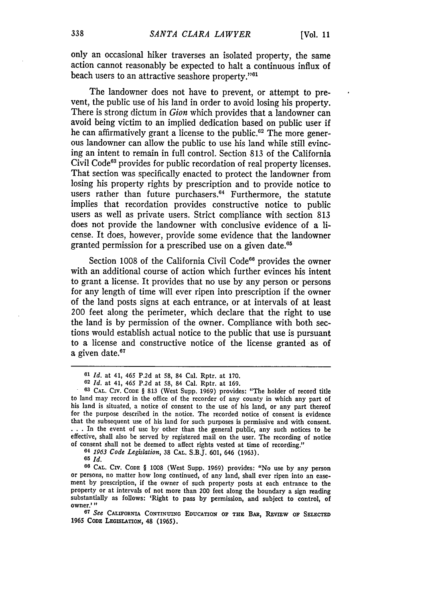only an occasional hiker traverses an isolated property, the same action cannot reasonably be expected to halt a continuous influx of beach users to an attractive seashore property."<sup>61</sup>

The landowner does not have to prevent, or attempt to prevent, the public use of his land in order to avoid losing his property. There is strong dictum in *Gion* which provides that a landowner can avoid being victim to an implied dedication based on public user if he can affirmatively grant a license to the public.<sup>62</sup> The more generous landowner can allow the public to use his land while still evincing an intent to remain in full control. Section 813 of the California Civil Code<sup>63</sup> provides for public recordation of real property licenses. That section was specifically enacted to protect the landowner from losing his property rights by prescription and to provide notice to users rather than future purchasers.<sup>64</sup> Furthermore, the statute implies that recordation provides constructive notice to public users as well as private users. Strict compliance with section 813 does not provide the landowner with conclusive evidence of a license. It does, however, provide some evidence that the landowner granted permission for a prescribed use on a given date.<sup>65</sup>

Section 1008 of the California Civil Code<sup>66</sup> provides the owner with an additional course of action which further evinces his intent to grant a license. It provides that no use by any person or persons for any length of time will ever ripen into prescription if the owner of the land posts signs at each entrance, or at intervals of at least 200 feet along the perimeter, which declare that the right to use the land is by permission of the owner. Compliance with both sections would establish actual notice to the public that use is pursuant to a license and constructive notice of the license granted as of a given date. $67$ 

**66 CAL. CIV. CODE** § **1008** (West Supp. **1969)** provides: "No use **by** any person or persons, no matter how long continued, of any land, shall ever ripen into an ease- ment **by** prescription, if the owner of such property posts at each entrance to the property or at intervals of not more than 200 feet along the boundary a sign reading substantially as follows: 'Right to pass **by** permission, and subject to control, of owner.'"

**67** *See* **CALIFORNIA CONTINUING EDUCATION OF THE** BAR, REVIEW **oF SELECTED** 1965 CoDs **LEGISLATION,** 48 **(1965).**

**<sup>61</sup>***Id.* at 41, 465 P.2d at 58, 84 Cal. Rptr. at 170.

**<sup>62</sup>***Id.* at 41, 465 P.2d at 58, 84 Cal. Rptr. at 169.

**<sup>63</sup> CAL.** CIV. **CODE** § 813 (West Supp. 1969) provides: "The holder of record title to land may record in the office of the recorder of any county in which any part of his land is situated, a notice of consent to the use of his land, or any part thereof for the purpose described in the notice. The recorded notice of consent is evidence that the subsequent use of his land for such purposes is permissive and with consent. • **. .** In the event of use by other than the general public, any such notices to be effective, shall also be served by registered mail on the user. The recording of notice of consent shall not be deemed to affect rights vested at time of recording."

*<sup>64 1963</sup> Code Legislation,* **38 CAL.** S.B.J. **601,** 646 **(1963).**

**<sup>65</sup>** *Id.*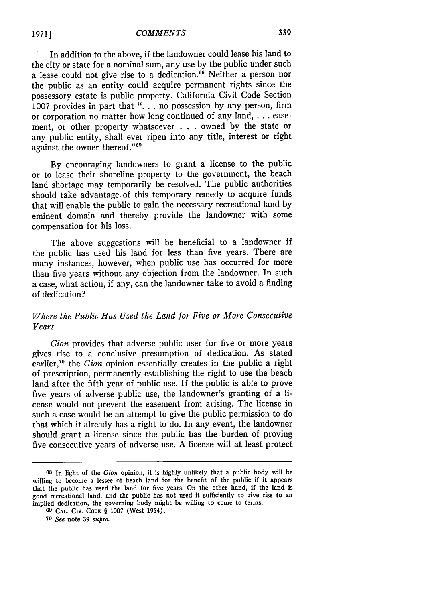In addition to the above, if the landowner could lease his land to the city or state for a nominal sum, any use by the public under such a lease could not give rise to a dedication.<sup>68</sup> Neither a person nor the public as an entity could acquire permanent rights since the possessory estate is public property. California Civil Code Section 1007 provides in part that ". **.** . no possession by any person, firm or corporation no matter how long continued of any land,... easement, or other property whatsoever . . . owned by the state or any public entity, shall ever ripen into any title, interest or right against the owner thereof."<sup>69</sup>

By encouraging landowners to grant a license to the public or to lease their shoreline property to the government, the beach land shortage may temporarily be resolved. The public authorities should take advantage, of this temporary remedy to acquire funds that will enable the public to gain the necessary recreational land by eminent domain and thereby provide the landowner with some compensation for his loss.

The above suggestions will be beneficial to a landowner if the public has used his land for less than five years. There are many instances, however, when public use has occurred for more than five years without any objection from the landowner. In such a case, what action, if any, can the landowner take to avoid a finding of dedication?

## *Where the Public Has Used the Land for Five or More Consecutive Years*

*Gion* provides that adverse public user for five or more years gives rise to a conclusive presumption of dedication. As stated earlier,"° the *Gion* opinion essentially creates in the public a right of prescription, permanently establishing the right to use the beach land after the fifth year of public use. If the public is able to prove five years of adverse public use, the landowner's granting of a license would not prevent the easement from arising. The license in such a case would be an attempt to give the public permission to do that which it already has a right to do. In any event, the landowner should grant a license since the public has the burden of proving five consecutive years of adverse use. A license will at least protect

**<sup>68</sup>**In light of the *Gion* opinion, it is highly unlikely that a public body will be willing to become a lessee of beach land for the benefit of the public if it appears that the public has used the land for five years. On the other hand, if the land is good recreational land, and the public has not used it sufficiently to give rise to an implied dedication, the governing body might be willing to come to terms.

**<sup>69</sup> CAL.** CIV. **CODE** § 1007 (West 1954).

**<sup>70</sup>** *See* note 39 *supra.*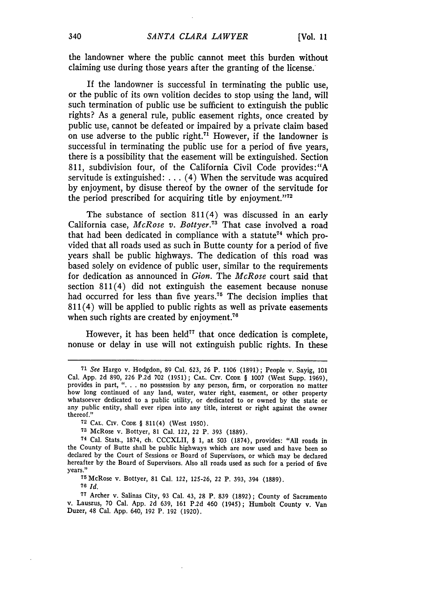the landowner where the public cannot meet this burden without claiming use during those years after the granting of the license:

If the landowner is successful in terminating the public use, or the public of its own volition decides to stop using the land, will such termination of public use be sufficient to extinguish the public rights? As a general rule, public easement rights, once created by public use, cannot be defeated or impaired by a private claim based on use adverse to the public right.<sup>71</sup> However, if the landowner is successful in terminating the public use for a period of five years, there is a possibility that the easement will be extinguished. Section 811, subdivision four, of the California Civil Code provides: "A servitude is extinguished: ... (4) When the servitude was acquired by enjoyment, by disuse thereof by the owner of the servitude for the period prescribed for acquiring title by enjoyment."<sup>72</sup>

The substance of section 811(4) was discussed in an early California case, *McRose v. Bottyer.73* That case involved a road that had been dedicated in compliance with a statute<sup>74</sup> which provided that all roads used as such in Butte county for a period of five years shall be public highways. The dedication of this road was based solely on evidence of public user, similar to the requirements for dedication as announced in *Gion.* The *McRose* court said that section 811(4) did not extinguish the easement because nonuse had occurred for less than five years.<sup>75</sup> The decision implies that 811(4) will be applied to public rights as well as private easements when such rights are created by enjoyment.<sup>76</sup>

However, it has been held<sup>77</sup> that once dedication is complete. nonuse or delay in use will not extinguish public rights. In these

**<sup>75</sup>**McRose v. Bottyer, 81 Cal. 122, 125-26, 22 P. 393, 394 (1889). **76** *Id.*

**<sup>77</sup>**Archer v. Salinas City, **93** Cal. 43, **28** P. **839 (1892);** County of Sacramento v. Lauszus, **70** Cal. **App. 2d 639, 161 P.2d** 460 (1945); Humbolt County v. Van Duzer, 48 Cal. **App.** 640, **192** P. **192 (1920).**

**<sup>71</sup>** *See* Hargo v. Hodgdon, 89 Cal. 623, 26 P. 1106 (1891); People v. Sayig, 101 Cal. App. **2d** 890, **226** P.2d **702** (1951); **CAL.** CIV. **CODE** § 1007 (West Supp. 1969), provides in part, ". **.** . no possession by any person, firm, or corporation no matter how long continued of any land, water, water right, easement, or other property whatsoever dedicated to a public utility, or dedicated to or owned by the state or any public entity, shall ever ripen into any title, interest or right against the owner thereof."

**<sup>72</sup> CAL.** CIv. **CODE** § 811(4) (West 1950).

**<sup>73</sup>**McRose v. Bottyer, 81 Cal. 122, 22 P. 393 (1889).

**<sup>74</sup>**Cal. Stats., 1874, ch. CCCXLII, § 1, at 503 (1874), provides: "All roads in the County of Butte shall be public highways which are now used and have been so declared by the Court of Sessions or Board of Supervisors, or which may be declared hereafter by the Board of Supervisors. Also all roads used as such for a period of five years."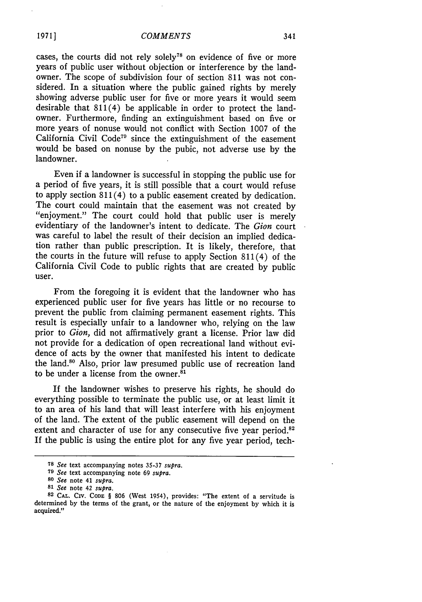cases, the courts did not rely solely<sup>78</sup> on evidence of five or more years of public user without objection or interference by the landowner. The scope of subdivision four of section 811 was not considered. In a situation where the public gained rights by merely showing adverse public user for five or more years it would seem desirable that 811(4) be applicable in order to protect the landowner. Furthermore, finding an extinguishment based on five or more years of nonuse would not conflict with Section **1007** of the California Civil Code79 since the extinguishment of the easement would be based on nonuse by the pubic, not adverse use by the landowner.

Even if a landowner is successful in stopping the public use for a period of five years, it is still possible that a court would refuse to apply section 811(4) to a public easement created by dedication. The court could maintain that the easement was not created by "enjoyment." The court could hold that public user is merely evidentiary of the landowner's intent to dedicate. The *Gion* court was careful to label the result of their decision an implied dedication rather than public prescription. It is likely, therefore, that the courts in the future will refuse to apply Section 811(4) of the California Civil Code to public rights that are created by public user.

From the foregoing it is evident that the landowner who has experienced public user for five years has little or no recourse to prevent the public from claiming permanent easement rights. This result is especially unfair to a landowner who, relying on the law prior to *Gion,* did not affirmatively grant a license. Prior law did not provide for a dedication of open recreational land without evidence of acts by the owner that manifested his intent to dedicate the land.<sup>80</sup> Also, prior law presumed public use of recreation land to be under a license from the owner.<sup>81</sup>

If the landowner wishes to preserve his rights, he should do everything possible to terminate the public use, or at least limit it to an area of his land that will least interfere with his enjoyment of the land. The extent of the public easement will depend on the extent and character of use for any consecutive five year period.<sup>82</sup> If the public is using the entire plot for any five year period, tech-

**<sup>78</sup>***See* text accompanying notes **35-37** *supra.*

**<sup>79</sup>***See* text accompanying note 69 *supra.*

*<sup>80</sup>See* note 41 *supra.*

*<sup>81</sup> See* note 42 *supra.*

<sup>82</sup> **CAL.** CIv. **CODE** § **806** (West 1954), provides: "The extent of a servitude is determined by the terms of the grant, or the nature of the enjoyment **by** which it is acquired."